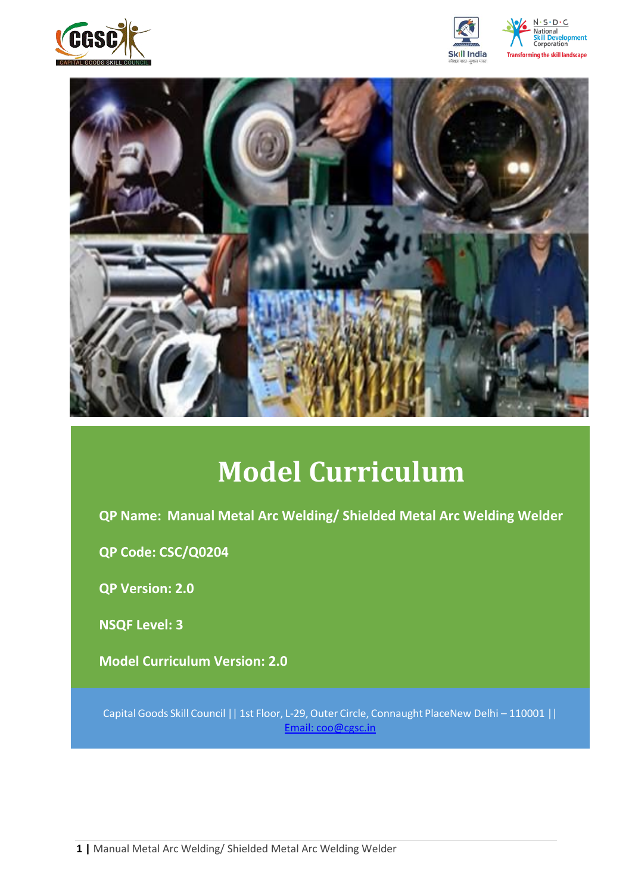







# **Model Curriculum**

**QP Name: Manual Metal Arc Welding/ Shielded Metal Arc Welding Welder**

**QP Code: CSC/Q0204**

**QP Version: 2.0**

**NSQF Level: 3**

**Model Curriculum Version: 2.0** 

Capital Goods Skill Council || 1st Floor, L-29,Outer Circle, Connaught PlaceNew Delhi – 110001 || Email: [coo@cgsc.in](mailto:Email:%20coo@cgsc.in)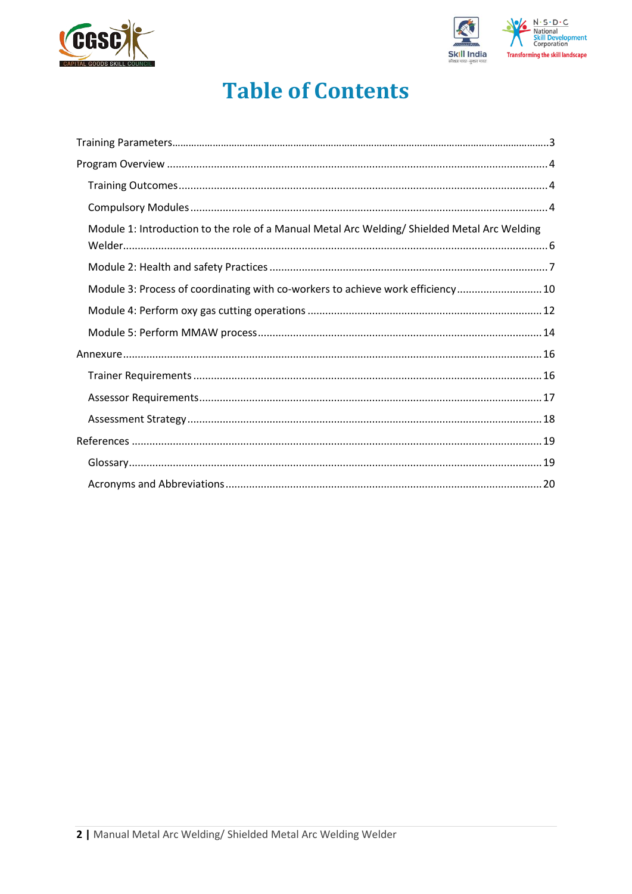



# **Table of Contents**

| Module 1: Introduction to the role of a Manual Metal Arc Welding/Shielded Metal Arc Welding |  |
|---------------------------------------------------------------------------------------------|--|
|                                                                                             |  |
| Module 3: Process of coordinating with co-workers to achieve work efficiency 10             |  |
|                                                                                             |  |
|                                                                                             |  |
|                                                                                             |  |
|                                                                                             |  |
|                                                                                             |  |
|                                                                                             |  |
|                                                                                             |  |
|                                                                                             |  |
|                                                                                             |  |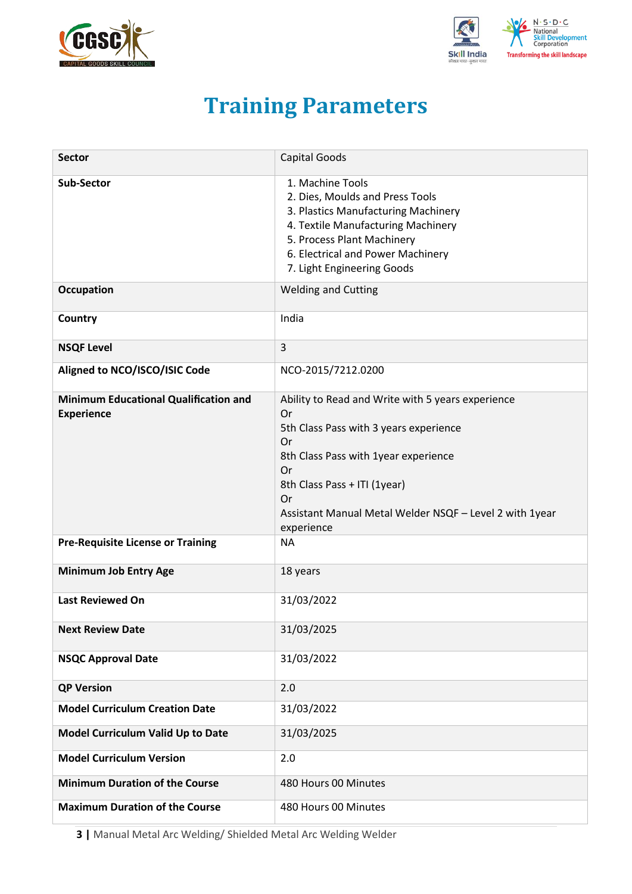<span id="page-2-0"></span>



# **Training Parameters**

| <b>Sector</b>                                                     | <b>Capital Goods</b>                                                                                                                                                                                                                                                 |
|-------------------------------------------------------------------|----------------------------------------------------------------------------------------------------------------------------------------------------------------------------------------------------------------------------------------------------------------------|
| <b>Sub-Sector</b>                                                 | 1. Machine Tools<br>2. Dies, Moulds and Press Tools<br>3. Plastics Manufacturing Machinery<br>4. Textile Manufacturing Machinery<br>5. Process Plant Machinery<br>6. Electrical and Power Machinery<br>7. Light Engineering Goods                                    |
| <b>Occupation</b>                                                 | <b>Welding and Cutting</b>                                                                                                                                                                                                                                           |
| Country                                                           | India                                                                                                                                                                                                                                                                |
| <b>NSQF Level</b>                                                 | $\overline{3}$                                                                                                                                                                                                                                                       |
| Aligned to NCO/ISCO/ISIC Code                                     | NCO-2015/7212.0200                                                                                                                                                                                                                                                   |
| <b>Minimum Educational Qualification and</b><br><b>Experience</b> | Ability to Read and Write with 5 years experience<br>Or<br>5th Class Pass with 3 years experience<br>Or<br>8th Class Pass with 1year experience<br>Or<br>8th Class Pass + ITI (1year)<br>Or<br>Assistant Manual Metal Welder NSQF - Level 2 with 1year<br>experience |
| <b>Pre-Requisite License or Training</b>                          | <b>NA</b>                                                                                                                                                                                                                                                            |
| <b>Minimum Job Entry Age</b>                                      | 18 years                                                                                                                                                                                                                                                             |
| <b>Last Reviewed On</b>                                           | 31/03/2022                                                                                                                                                                                                                                                           |
| <b>Next Review Date</b>                                           | 31/03/2025                                                                                                                                                                                                                                                           |
| <b>NSQC Approval Date</b>                                         | 31/03/2022                                                                                                                                                                                                                                                           |
| <b>QP Version</b>                                                 | 2.0                                                                                                                                                                                                                                                                  |
| <b>Model Curriculum Creation Date</b>                             | 31/03/2022                                                                                                                                                                                                                                                           |
| Model Curriculum Valid Up to Date                                 | 31/03/2025                                                                                                                                                                                                                                                           |
| <b>Model Curriculum Version</b>                                   | 2.0                                                                                                                                                                                                                                                                  |
| <b>Minimum Duration of the Course</b>                             | 480 Hours 00 Minutes                                                                                                                                                                                                                                                 |
| <b>Maximum Duration of the Course</b>                             | 480 Hours 00 Minutes                                                                                                                                                                                                                                                 |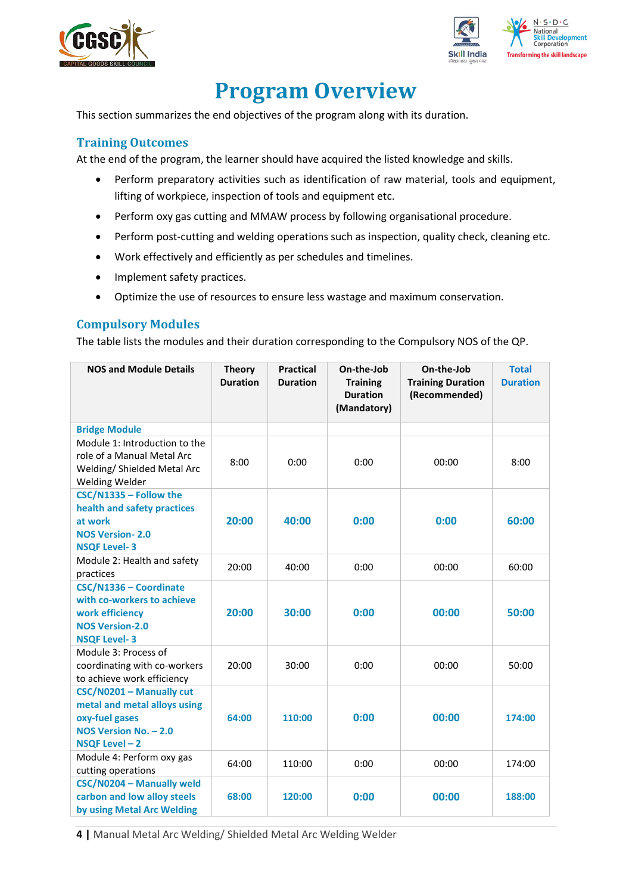



# **Program Overview**

<span id="page-3-0"></span>This section summarizes the end objectives of the program along with its duration.

## <span id="page-3-1"></span>**Training Outcomes**

<span id="page-3-2"></span>At the end of the program, the learner should have acquired the listed knowledge and skills.

- Perform preparatory activities such as identification of raw material, tools and equipment, lifting of workpiece, inspection of tools and equipment etc.
- Perform oxy gas cutting and MMAW process by following organisational procedure.
- Perform post-cutting and welding operations such as inspection, quality check, cleaning etc.
- Work effectively and efficiently as per schedules and timelines.
- Implement safety practices.
- Optimize the use of resources to ensure less wastage and maximum conservation.

### **Compulsory Modules**

The table lists the modules and their duration corresponding to the Compulsory NOS of the QP.

| <b>NOS and Module Details</b>                                                                                            | <b>Theory</b><br><b>Duration</b> | <b>Practical</b><br><b>Duration</b> | On-the-Job<br><b>Training</b><br><b>Duration</b><br>(Mandatory) | On-the-Job<br><b>Training Duration</b><br>(Recommended) | <b>Total</b><br><b>Duration</b> |
|--------------------------------------------------------------------------------------------------------------------------|----------------------------------|-------------------------------------|-----------------------------------------------------------------|---------------------------------------------------------|---------------------------------|
| <b>Bridge Module</b>                                                                                                     |                                  |                                     |                                                                 |                                                         |                                 |
| Module 1: Introduction to the<br>role of a Manual Metal Arc<br>Welding/ Shielded Metal Arc<br>Welding Welder             | 8:00                             | 0:00                                | 0:00                                                            | 00:00                                                   | 8:00                            |
| CSC/N1335 - Follow the<br>health and safety practices<br>at work<br><b>NOS Version-2.0</b><br><b>NSQF Level-3</b>        | 20:00                            | 40:00                               | 0:00                                                            | 0:00                                                    | 60:00                           |
| Module 2: Health and safety<br>practices                                                                                 | 20:00                            | 40:00                               | 0:00                                                            | 00:00                                                   | 60:00                           |
| CSC/N1336 - Coordinate<br>with co-workers to achieve<br>work efficiency<br><b>NOS Version-2.0</b><br><b>NSQF Level-3</b> | 20:00                            | 30:00                               | 0:00                                                            | 00:00                                                   | 50:00                           |
| Module 3: Process of<br>coordinating with co-workers<br>to achieve work efficiency                                       | 20:00                            | 30:00                               | 0:00                                                            | 00:00                                                   | 50:00                           |
| CSC/N0201 - Manually cut<br>metal and metal alloys using<br>oxy-fuel gases<br>NOS Version No. - 2.0<br>NSQF Level-2      | 64:00                            | 110:00                              | 0:00                                                            | 00:00                                                   | 174:00                          |
| Module 4: Perform oxy gas<br>cutting operations                                                                          | 64:00                            | 110:00                              | 0:00                                                            | 00:00                                                   | 174:00                          |
| CSC/N0204 - Manually weld<br>carbon and low alloy steels<br>by using Metal Arc Welding                                   | 68:00                            | 120:00                              | 0:00                                                            | 00:00                                                   | 188:00                          |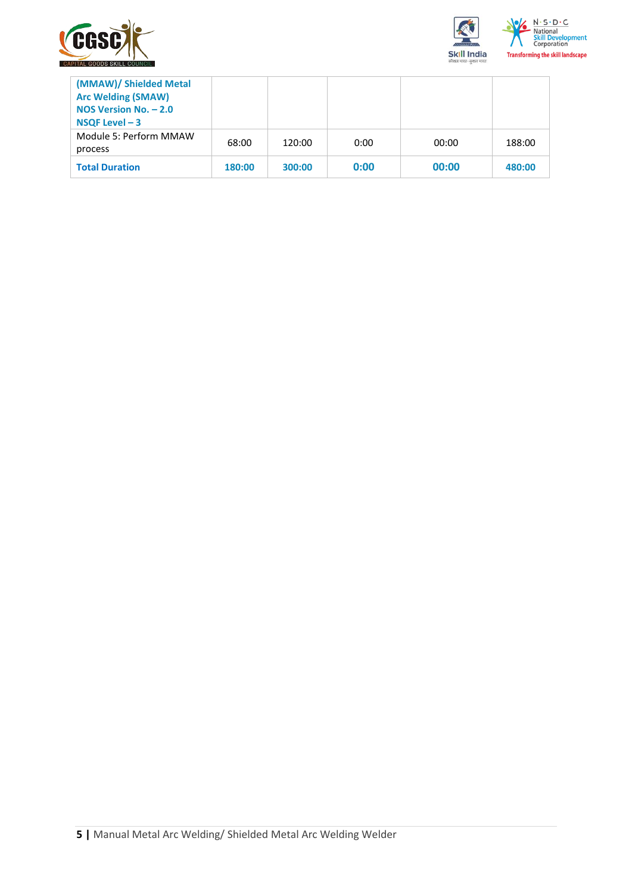



| (MMAW)/ Shielded Metal<br><b>Arc Welding (SMAW)</b><br>NOS Version No. $-2.0$<br>NSQF Level $-3$ |        |        |      |       |        |
|--------------------------------------------------------------------------------------------------|--------|--------|------|-------|--------|
| Module 5: Perform MMAW<br>process                                                                | 68:00  | 120:00 | 0:00 | 00:00 | 188:00 |
| <b>Total Duration</b>                                                                            | 180:00 | 300:00 | 0:00 | 00:00 | 480:00 |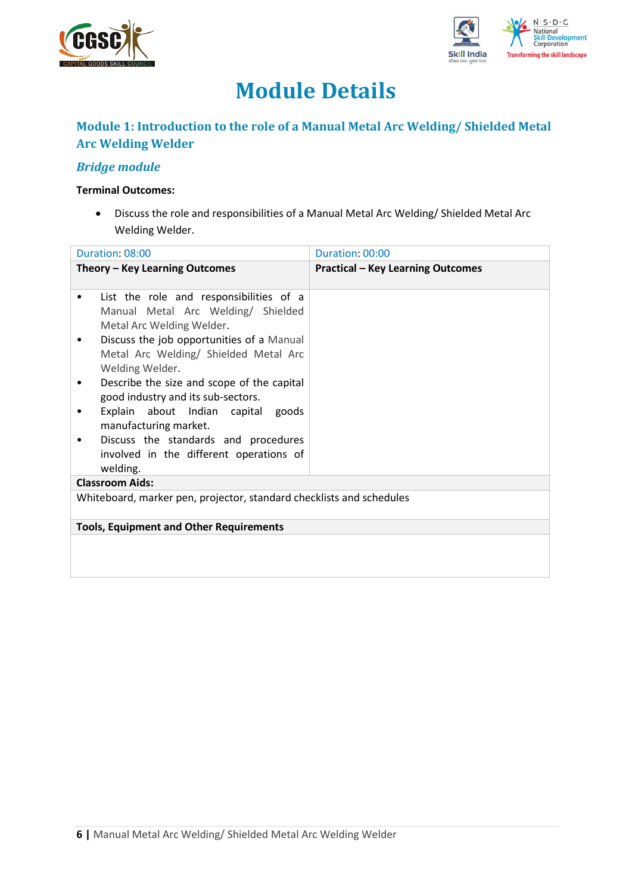



# **Module Details**

# **Module 1: Introduction to the role of a Manual Metal Arc Welding/ Shielded Metal Arc Welding Welder**

## *Bridge module*

#### **Terminal Outcomes:**

• Discuss the role and responsibilities of a Manual Metal Arc Welding/ Shielded Metal Arc Welding Welder.

| Duration: 08:00                                                                                                                                                                                                    | Duration: 00:00                          |
|--------------------------------------------------------------------------------------------------------------------------------------------------------------------------------------------------------------------|------------------------------------------|
| Theory – Key Learning Outcomes                                                                                                                                                                                     | <b>Practical - Key Learning Outcomes</b> |
| List the role and responsibilities of a<br>$\bullet$<br>Manual Metal Arc Welding/ Shielded<br>Metal Arc Welding Welder.<br>Discuss the job opportunities of a Manual<br>٠<br>Metal Arc Welding/ Shielded Metal Arc |                                          |
| Welding Welder.                                                                                                                                                                                                    |                                          |
| Describe the size and scope of the capital<br>٠<br>good industry and its sub-sectors.                                                                                                                              |                                          |
| Explain about Indian capital goods<br>٠<br>manufacturing market.                                                                                                                                                   |                                          |
| Discuss the standards and procedures<br>involved in the different operations of<br>welding.                                                                                                                        |                                          |
| <b>Classroom Aids:</b>                                                                                                                                                                                             |                                          |
| Whiteboard, marker pen, projector, standard checklists and schedules                                                                                                                                               |                                          |
| <b>Tools, Equipment and Other Requirements</b>                                                                                                                                                                     |                                          |
|                                                                                                                                                                                                                    |                                          |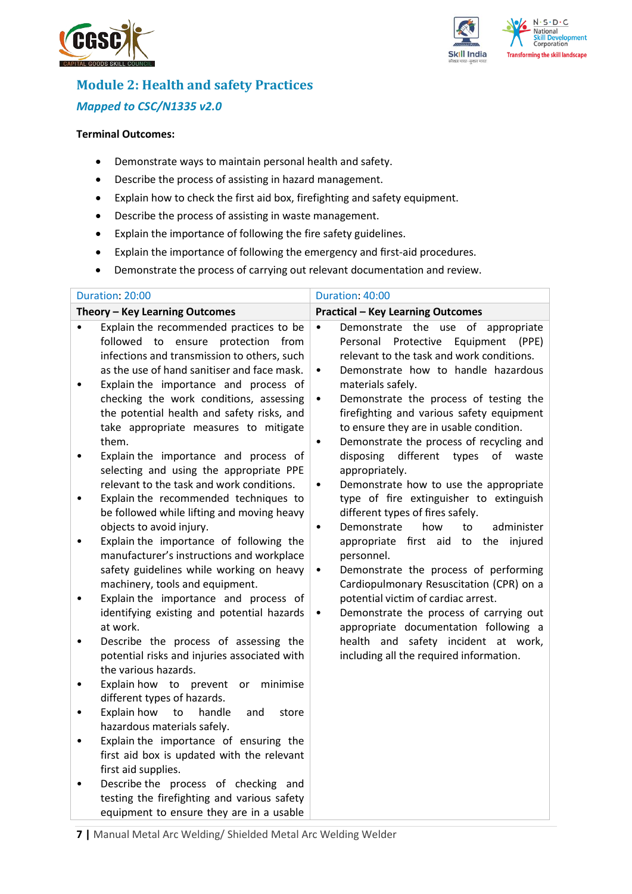



# **Module 2: Health and safety Practices** *Mapped to CSC/N1335 v2.0*

#### **Terminal Outcomes:**

- Demonstrate ways to maintain personal health and safety.
- Describe the process of assisting in hazard management.
- Explain how to check the first aid box, firefighting and safety equipment.
- Describe the process of assisting in waste management.
- Explain the importance of following the fire safety guidelines.
- Explain the importance of following the emergency and first-aid procedures.
- Demonstrate the process of carrying out relevant documentation and review.

| Theory - Key Learning Outcomes<br>Explain the recommended practices to be<br>$\bullet$<br>$\bullet$<br>followed to ensure protection from                                                                                                                                                                                                                                                                                                                                                                                                                                                                                                                                                                                                                                                                                                                                                                                                                                                                                                                                                                                                                                                                                                                                                                                                                                                                                                                                                         | <b>Practical - Key Learning Outcomes</b><br>Demonstrate the use of appropriate<br>Personal<br>Protective<br>Equipment<br>(PPE)<br>relevant to the task and work conditions.                                                                                                                                                                                                                                                                                                                                                                                                                                                                                                                                                                                                                                                              |
|---------------------------------------------------------------------------------------------------------------------------------------------------------------------------------------------------------------------------------------------------------------------------------------------------------------------------------------------------------------------------------------------------------------------------------------------------------------------------------------------------------------------------------------------------------------------------------------------------------------------------------------------------------------------------------------------------------------------------------------------------------------------------------------------------------------------------------------------------------------------------------------------------------------------------------------------------------------------------------------------------------------------------------------------------------------------------------------------------------------------------------------------------------------------------------------------------------------------------------------------------------------------------------------------------------------------------------------------------------------------------------------------------------------------------------------------------------------------------------------------------|------------------------------------------------------------------------------------------------------------------------------------------------------------------------------------------------------------------------------------------------------------------------------------------------------------------------------------------------------------------------------------------------------------------------------------------------------------------------------------------------------------------------------------------------------------------------------------------------------------------------------------------------------------------------------------------------------------------------------------------------------------------------------------------------------------------------------------------|
|                                                                                                                                                                                                                                                                                                                                                                                                                                                                                                                                                                                                                                                                                                                                                                                                                                                                                                                                                                                                                                                                                                                                                                                                                                                                                                                                                                                                                                                                                                   |                                                                                                                                                                                                                                                                                                                                                                                                                                                                                                                                                                                                                                                                                                                                                                                                                                          |
| infections and transmission to others, such<br>as the use of hand sanitiser and face mask.<br>$\bullet$<br>Explain the importance and process of<br>$\bullet$<br>checking the work conditions, assessing<br>$\bullet$<br>the potential health and safety risks, and<br>take appropriate measures to mitigate<br>them.<br>$\bullet$<br>Explain the importance and process of<br>$\bullet$<br>selecting and using the appropriate PPE<br>relevant to the task and work conditions.<br>$\bullet$<br>Explain the recommended techniques to<br>$\bullet$<br>be followed while lifting and moving heavy<br>objects to avoid injury.<br>$\bullet$<br>Explain the importance of following the<br>$\bullet$<br>manufacturer's instructions and workplace<br>safety guidelines while working on heavy<br>$\bullet$<br>machinery, tools and equipment.<br>Explain the importance and process of<br>$\bullet$<br>identifying existing and potential hazards<br>$\bullet$<br>at work.<br>Describe the process of assessing the<br>$\bullet$<br>potential risks and injuries associated with<br>the various hazards.<br>Explain how to prevent or<br>minimise<br>٠<br>different types of hazards.<br>Explain how<br>to<br>handle<br>and<br>store<br>$\bullet$<br>hazardous materials safely.<br>Explain the importance of ensuring the<br>$\bullet$<br>first aid box is updated with the relevant<br>first aid supplies.<br>Describe the process of checking and<br>testing the firefighting and various safety | Demonstrate how to handle hazardous<br>materials safely.<br>Demonstrate the process of testing the<br>firefighting and various safety equipment<br>to ensure they are in usable condition.<br>Demonstrate the process of recycling and<br>different<br>disposing<br>types<br>of<br>waste<br>appropriately.<br>Demonstrate how to use the appropriate<br>type of fire extinguisher to extinguish<br>different types of fires safely.<br>how<br>administer<br>Demonstrate<br>to<br>appropriate first aid to the<br>injured<br>personnel.<br>Demonstrate the process of performing<br>Cardiopulmonary Resuscitation (CPR) on a<br>potential victim of cardiac arrest.<br>Demonstrate the process of carrying out<br>appropriate documentation following a<br>health and safety incident at work,<br>including all the required information. |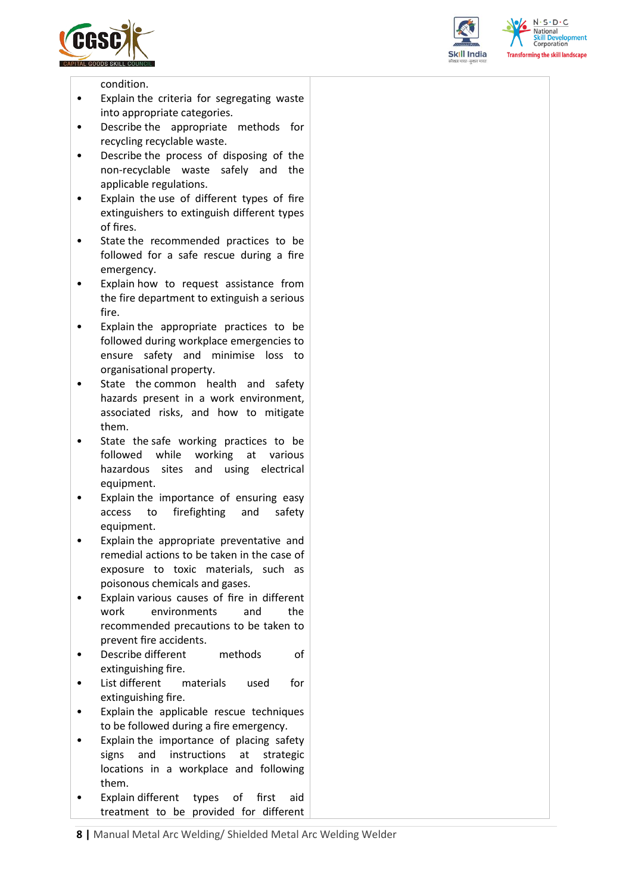





condition.

- Explain the criteria for segregating waste into appropriate categories.
- Describe the appropriate methods for recycling recyclable waste.
- Describe the process of disposing of the non-recyclable waste safely and the applicable regulations.
- Explain the use of different types of fire extinguishers to extinguish different types of fires.
- State the recommended practices to be followed for a safe rescue during a fire emergency.
- Explain how to request assistance from the fire department to extinguish a serious fire.
- Explain the appropriate practices to be followed during workplace emergencies to ensure safety and minimise loss to organisational property.
- State the common health and safety hazards present in a work environment, associated risks, and how to mitigate them.
- State the safe working practices to be followed while working at various hazardous sites and using electrical equipment.
- Explain the importance of ensuring easy access to firefighting and safety equipment.
- Explain the appropriate preventative and remedial actions to be taken in the case of exposure to toxic materials, such as poisonous chemicals and gases.
- Explain various causes of fire in different work environments and the recommended precautions to be taken to prevent fire accidents.
- Describe different methods of extinguishing fire.
- List different materials used for extinguishing fire.
- Explain the applicable rescue techniques to be followed during a fire emergency.
- Explain the importance of placing safety signs and instructions at strategic locations in a workplace and following them.
- Explain different types of first aid treatment to be provided for different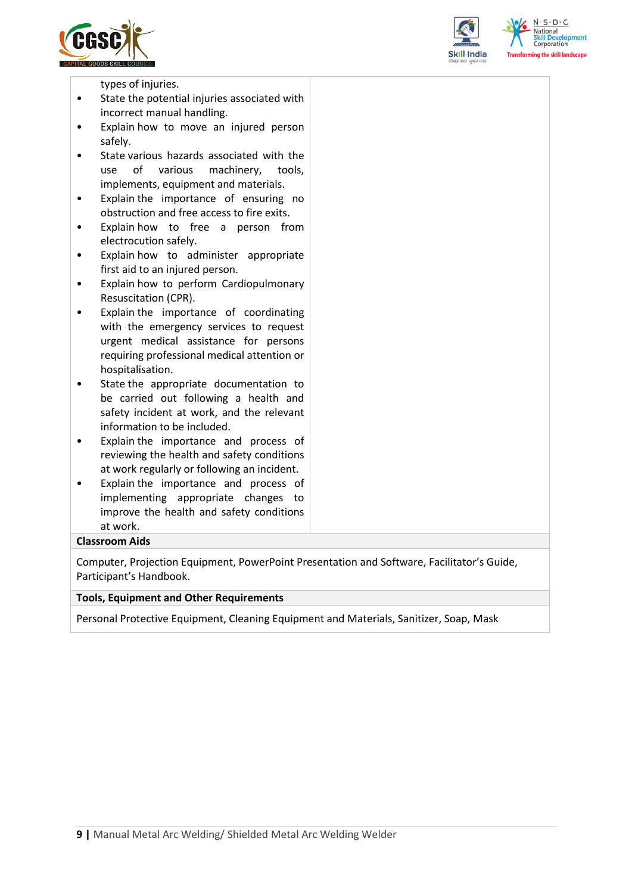





types of injuries.

- State the potential injuries associated with incorrect manual handling.
- Explain how to move an injured person safely.
- State various hazards associated with the use of various machinery, tools, implements, equipment and materials.
- Explain the importance of ensuring no obstruction and free access to fire exits.
- Explain how to free a person from electrocution safely.
- Explain how to administer appropriate first aid to an injured person.
- Explain how to perform Cardiopulmonary Resuscitation (CPR).
- Explain the importance of coordinating with the emergency services to request urgent medical assistance for persons requiring professional medical attention or hospitalisation.
- State the appropriate documentation to be carried out following a health and safety incident at work, and the relevant information to be included.
- Explain the importance and process of reviewing the health and safety conditions at work regularly or following an incident.
- Explain the importance and process of implementing appropriate changes to improve the health and safety conditions at work.

#### **Classroom Aids**

Computer, Projection Equipment, PowerPoint Presentation and Software, Facilitator's Guide, Participant's Handbook.

#### **Tools, Equipment and Other Requirements**

Personal Protective Equipment, Cleaning Equipment and Materials, Sanitizer, Soap, Mask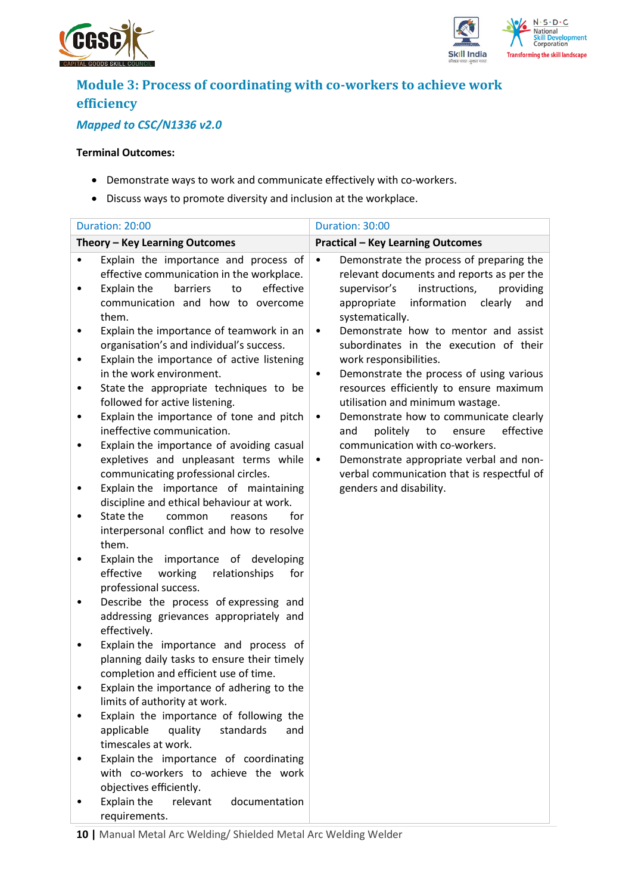



# **Module 3: Process of coordinating with co-workers to achieve work efficiency**

# *Mapped to CSC/N1336 v2.0*

#### **Terminal Outcomes:**

- Demonstrate ways to work and communicate effectively with co-workers.
- Discuss ways to promote diversity and inclusion at the workplace.

|        | Duration: 20:00                                                                                                                                                                | Duration: 30:00                                                                                                                                                                                                     |
|--------|--------------------------------------------------------------------------------------------------------------------------------------------------------------------------------|---------------------------------------------------------------------------------------------------------------------------------------------------------------------------------------------------------------------|
|        | Theory - Key Learning Outcomes                                                                                                                                                 | <b>Practical - Key Learning Outcomes</b>                                                                                                                                                                            |
| ٠      | Explain the importance and process of<br>effective communication in the workplace.<br>to<br>effective<br>Explain the<br>barriers<br>communication and how to overcome<br>them. | Demonstrate the process of preparing the<br>$\bullet$<br>relevant documents and reports as per the<br>instructions,<br>providing<br>supervisor's<br>information<br>clearly<br>appropriate<br>and<br>systematically. |
| ٠      | Explain the importance of teamwork in an<br>organisation's and individual's success.<br>Explain the importance of active listening<br>in the work environment.                 | Demonstrate how to mentor and assist<br>$\bullet$<br>subordinates in the execution of their<br>work responsibilities.<br>Demonstrate the process of using various<br>٠                                              |
| ٠<br>٠ | State the appropriate techniques to be<br>followed for active listening.<br>Explain the importance of tone and pitch                                                           | resources efficiently to ensure maximum<br>utilisation and minimum wastage.<br>Demonstrate how to communicate clearly<br>$\bullet$                                                                                  |
|        | ineffective communication.<br>Explain the importance of avoiding casual<br>expletives and unpleasant terms while<br>communicating professional circles.                        | effective<br>politely<br>to<br>ensure<br>and<br>communication with co-workers.<br>Demonstrate appropriate verbal and non-<br>$\bullet$<br>verbal communication that is respectful of                                |
|        | Explain the importance of maintaining<br>discipline and ethical behaviour at work.                                                                                             | genders and disability.                                                                                                                                                                                             |
|        | State the<br>common<br>for<br>reasons<br>interpersonal conflict and how to resolve<br>them.                                                                                    |                                                                                                                                                                                                                     |
|        | Explain the importance of developing<br>effective<br>working<br>relationships<br>for<br>professional success.                                                                  |                                                                                                                                                                                                                     |
|        | Describe the process of expressing and<br>addressing grievances appropriately and<br>effectively.                                                                              |                                                                                                                                                                                                                     |
|        | Explain the importance and process of<br>planning daily tasks to ensure their timely<br>completion and efficient use of time.                                                  |                                                                                                                                                                                                                     |
|        | Explain the importance of adhering to the<br>limits of authority at work.                                                                                                      |                                                                                                                                                                                                                     |
|        | Explain the importance of following the<br>applicable<br>quality<br>standards<br>and<br>timescales at work.                                                                    |                                                                                                                                                                                                                     |
|        | Explain the importance of coordinating<br>with co-workers to achieve the work<br>objectives efficiently.                                                                       |                                                                                                                                                                                                                     |
|        | Explain the<br>relevant<br>documentation<br>requirements.                                                                                                                      |                                                                                                                                                                                                                     |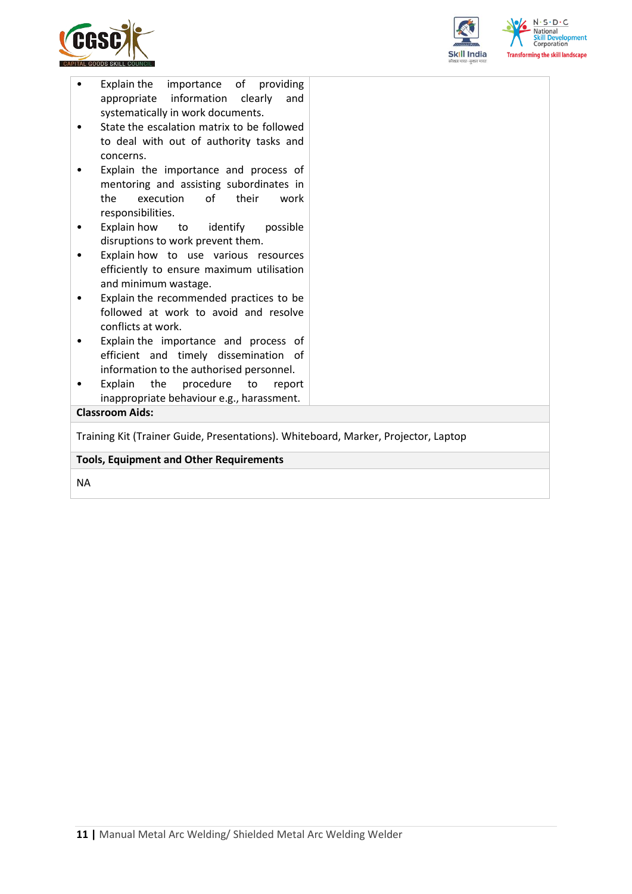



| concerns.<br>Explain the importance and process of<br>mentoring and assisting subordinates in                                   |  |
|---------------------------------------------------------------------------------------------------------------------------------|--|
| of<br>execution<br>their<br>the<br>work<br>responsibilities.                                                                    |  |
| Explain how<br>to identify<br>possible<br>٠<br>disruptions to work prevent them.                                                |  |
| Explain how to use various resources<br>efficiently to ensure maximum utilisation<br>and minimum wastage.                       |  |
| Explain the recommended practices to be<br>$\bullet$<br>followed at work to avoid and resolve<br>conflicts at work.             |  |
| Explain the importance and process of<br>٠<br>efficient and timely dissemination of<br>information to the authorised personnel. |  |
| Explain<br>the procedure to<br>report<br>$\bullet$<br>inappropriate behaviour e.g., harassment.                                 |  |
| <b>Classroom Aids:</b>                                                                                                          |  |
|                                                                                                                                 |  |
| Training Kit (Trainer Guide, Presentations). Whiteboard, Marker, Projector, Laptop                                              |  |
|                                                                                                                                 |  |
| <b>Tools, Equipment and Other Requirements</b>                                                                                  |  |

NA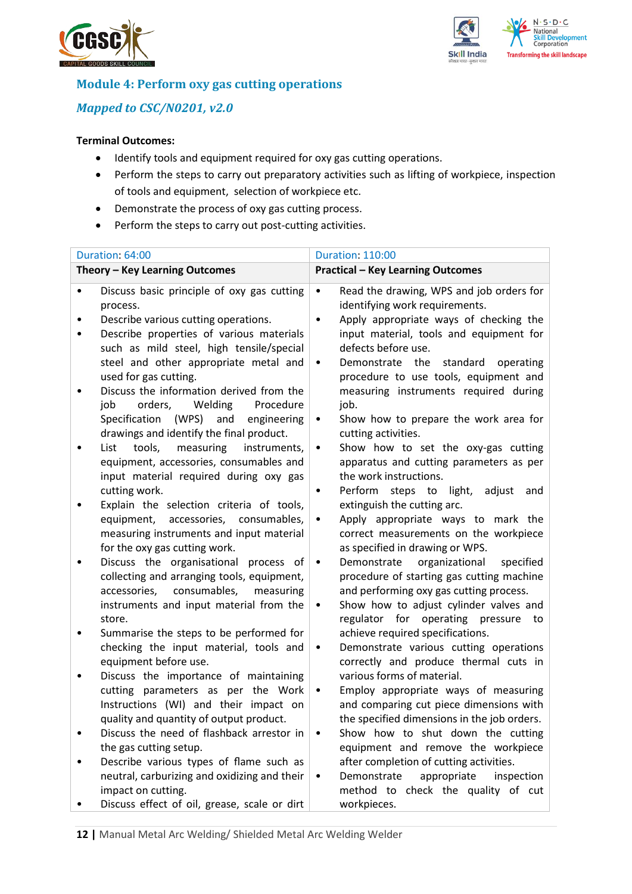



## **Module 4: Perform oxy gas cutting operations**

# *Mapped to CSC/N0201, v2.0*

### **Terminal Outcomes:**

- Identify tools and equipment required for oxy gas cutting operations.
- Perform the steps to carry out preparatory activities such as lifting of workpiece, inspection of tools and equipment, selection of workpiece etc.
- Demonstrate the process of oxy gas cutting process.
- Perform the steps to carry out post-cutting activities.

|   | Duration: 64:00                                                                                                                                                                                                                 | <b>Duration: 110:00</b>                                                                                                                                                                                                                                              |     |
|---|---------------------------------------------------------------------------------------------------------------------------------------------------------------------------------------------------------------------------------|----------------------------------------------------------------------------------------------------------------------------------------------------------------------------------------------------------------------------------------------------------------------|-----|
|   | Theory - Key Learning Outcomes                                                                                                                                                                                                  | <b>Practical - Key Learning Outcomes</b>                                                                                                                                                                                                                             |     |
| ٠ | Discuss basic principle of oxy gas cutting<br>process.<br>Describe various cutting operations.<br>Describe properties of various materials<br>such as mild steel, high tensile/special<br>steel and other appropriate metal and | Read the drawing, WPS and job orders for<br>$\bullet$<br>identifying work requirements.<br>Apply appropriate ways of checking the<br>$\bullet$<br>input material, tools and equipment for<br>defects before use.<br>Demonstrate<br>the<br>standard<br>operating<br>٠ |     |
| ٠ | used for gas cutting.<br>Discuss the information derived from the<br>job<br>orders,<br>Welding<br>Procedure<br>Specification (WPS)<br>and<br>engineering<br>drawings and identify the final product.                            | procedure to use tools, equipment and<br>measuring instruments required during<br>job.<br>Show how to prepare the work area for<br>$\bullet$<br>cutting activities.                                                                                                  |     |
| ٠ | tools,<br>measuring<br>List<br>instruments,<br>equipment, accessories, consumables and<br>input material required during oxy gas<br>cutting work.                                                                               | Show how to set the oxy-gas cutting<br>$\bullet$<br>apparatus and cutting parameters as per<br>the work instructions.<br>Perform<br>steps to light,<br>adjust<br>٠                                                                                                   | and |
|   | Explain the selection criteria of tools,<br>equipment, accessories, consumables,<br>measuring instruments and input material<br>for the oxy gas cutting work.                                                                   | extinguish the cutting arc.<br>Apply appropriate ways to mark the<br>$\bullet$<br>correct measurements on the workpiece<br>as specified in drawing or WPS.                                                                                                           |     |
| ٠ | Discuss the organisational process of<br>collecting and arranging tools, equipment,<br>consumables,<br>accessories,<br>measuring<br>instruments and input material from the<br>store.                                           | Demonstrate<br>organizational<br>specified<br>$\bullet$<br>procedure of starting gas cutting machine<br>and performing oxy gas cutting process.<br>Show how to adjust cylinder valves and<br>$\bullet$<br>regulator for operating pressure to                        |     |
|   | Summarise the steps to be performed for<br>checking the input material, tools and<br>equipment before use.                                                                                                                      | achieve required specifications.<br>Demonstrate various cutting operations<br>$\bullet$<br>correctly and produce thermal cuts in                                                                                                                                     |     |
| ٠ | Discuss the importance of maintaining<br>cutting parameters as per the Work<br>Instructions (WI) and their impact on<br>quality and quantity of output product.                                                                 | various forms of material.<br>Employ appropriate ways of measuring<br>٠<br>and comparing cut piece dimensions with<br>the specified dimensions in the job orders.                                                                                                    |     |
|   | Discuss the need of flashback arrestor in<br>the gas cutting setup.<br>Describe various types of flame such as                                                                                                                  | Show how to shut down the cutting<br>٠<br>equipment and remove the workpiece<br>after completion of cutting activities.                                                                                                                                              |     |
|   | neutral, carburizing and oxidizing and their<br>impact on cutting.<br>Discuss effect of oil, grease, scale or dirt                                                                                                              | Demonstrate<br>appropriate<br>inspection<br>method to check the quality of cut<br>workpieces.                                                                                                                                                                        |     |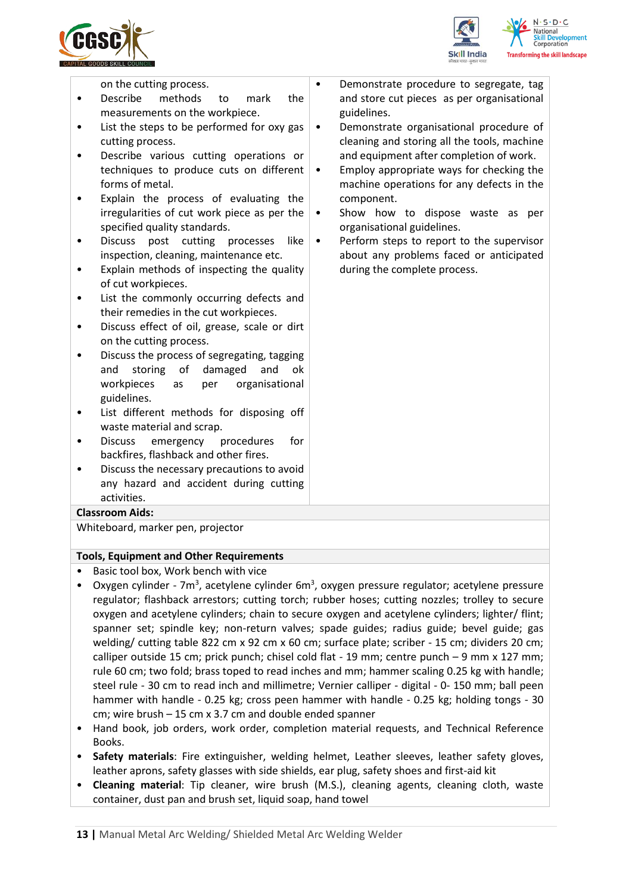



on the cutting process.

- Describe methods to mark the measurements on the workpiece.
- List the steps to be performed for oxy gas cutting process.
- Describe various cutting operations or techniques to produce cuts on different forms of metal.
- Explain the process of evaluating the irregularities of cut work piece as per the specified quality standards.
- Discuss post cutting processes like inspection, cleaning, maintenance etc.
- Explain methods of inspecting the quality of cut workpieces.
- List the commonly occurring defects and their remedies in the cut workpieces.
- Discuss effect of oil, grease, scale or dirt on the cutting process.
- Discuss the process of segregating, tagging and storing of damaged and ok workpieces as per organisational guidelines.
- List different methods for disposing off waste material and scrap.
- Discuss emergency procedures for backfires, flashback and other fires.
- Discuss the necessary precautions to avoid any hazard and accident during cutting activities.

#### **Classroom Aids:**

Whiteboard, marker pen, projector

#### **Tools, Equipment and Other Requirements**

- Basic tool box, Work bench with vice
- Oxygen cylinder 7m<sup>3</sup>, acetylene cylinder 6m<sup>3</sup>, oxygen pressure regulator; acetylene pressure regulator; flashback arrestors; cutting torch; rubber hoses; cutting nozzles; trolley to secure oxygen and acetylene cylinders; chain to secure oxygen and acetylene cylinders; lighter/ flint; spanner set; spindle key; non-return valves; spade guides; radius guide; bevel guide; gas welding/ cutting table 822 cm x 92 cm x 60 cm; surface plate; scriber - 15 cm; dividers 20 cm; calliper outside 15 cm; prick punch; chisel cold flat - 19 mm; centre punch – 9 mm x 127 mm; rule 60 cm; two fold; brass toped to read inches and mm; hammer scaling 0.25 kg with handle; steel rule - 30 cm to read inch and millimetre; Vernier calliper - digital - 0- 150 mm; ball peen hammer with handle - 0.25 kg; cross peen hammer with handle - 0.25 kg; holding tongs - 30 cm; wire brush – 15 cm x 3.7 cm and double ended spanner
- Hand book, job orders, work order, completion material requests, and Technical Reference Books.
- **Safety materials**: Fire extinguisher, welding helmet, Leather sleeves, leather safety gloves, leather aprons, safety glasses with side shields, ear plug, safety shoes and first-aid kit
- **Cleaning material**: Tip cleaner, wire brush (M.S.), cleaning agents, cleaning cloth, waste container, dust pan and brush set, liquid soap, hand towel
- Demonstrate procedure to segregate, tag and store cut pieces as per organisational guidelines.
	- Demonstrate organisational procedure of cleaning and storing all the tools, machine and equipment after completion of work.
- Employ appropriate ways for checking the machine operations for any defects in the component.
- Show how to dispose waste as per organisational guidelines.
- Perform steps to report to the supervisor about any problems faced or anticipated during the complete process.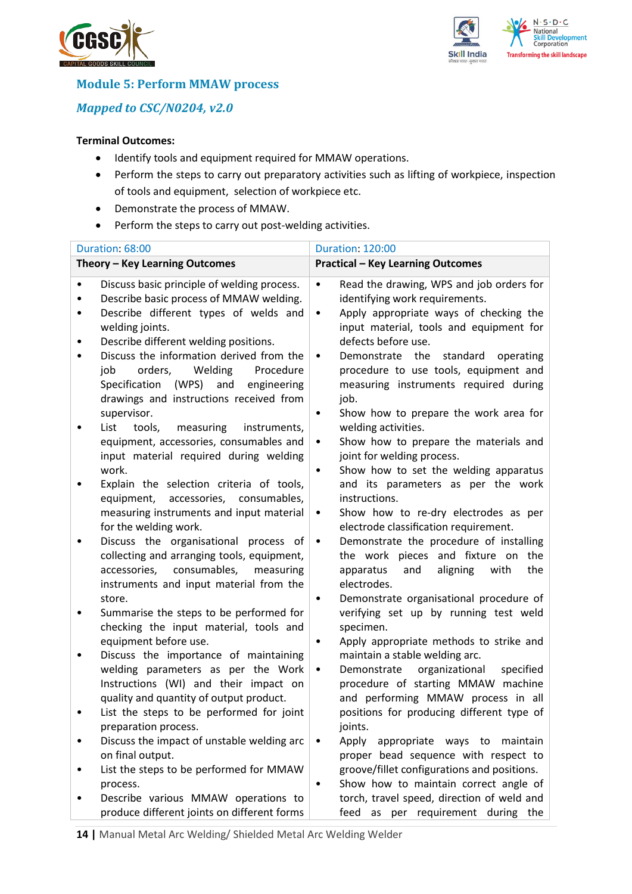



**Module 5: Perform MMAW process**

*Mapped to CSC/N0204, v2.0*

### **Terminal Outcomes:**

- Identify tools and equipment required for MMAW operations.
- Perform the steps to carry out preparatory activities such as lifting of workpiece, inspection of tools and equipment, selection of workpiece etc.
- Demonstrate the process of MMAW.
- Perform the steps to carry out post-welding activities.

|        | Duration: 68:00                                                                                                                                                                                                                                                                                                                                                                       | <b>Duration: 120:00</b>                                                                                                                                                                                                                                                                                                                                                                                                   |
|--------|---------------------------------------------------------------------------------------------------------------------------------------------------------------------------------------------------------------------------------------------------------------------------------------------------------------------------------------------------------------------------------------|---------------------------------------------------------------------------------------------------------------------------------------------------------------------------------------------------------------------------------------------------------------------------------------------------------------------------------------------------------------------------------------------------------------------------|
|        | Theory - Key Learning Outcomes                                                                                                                                                                                                                                                                                                                                                        | <b>Practical - Key Learning Outcomes</b>                                                                                                                                                                                                                                                                                                                                                                                  |
| ٠<br>٠ | Discuss basic principle of welding process.<br>Describe basic process of MMAW welding.<br>Describe different types of welds and<br>welding joints.<br>Describe different welding positions.<br>Discuss the information derived from the<br>orders,<br>job<br>Welding<br>Procedure<br>Specification (WPS) and<br>engineering<br>drawings and instructions received from<br>supervisor. | Read the drawing, WPS and job orders for<br>$\bullet$<br>identifying work requirements.<br>Apply appropriate ways of checking the<br>$\bullet$<br>input material, tools and equipment for<br>defects before use.<br>Demonstrate the<br>standard<br>operating<br>$\bullet$<br>procedure to use tools, equipment and<br>measuring instruments required during<br>job.<br>Show how to prepare the work area for<br>$\bullet$ |
|        | List<br>tools,<br>measuring<br>instruments,<br>equipment, accessories, consumables and<br>input material required during welding<br>work.                                                                                                                                                                                                                                             | welding activities.<br>Show how to prepare the materials and<br>$\bullet$<br>joint for welding process.<br>Show how to set the welding apparatus<br>$\bullet$                                                                                                                                                                                                                                                             |
|        | Explain the selection criteria of tools,<br>equipment, accessories, consumables,<br>measuring instruments and input material<br>for the welding work.                                                                                                                                                                                                                                 | and its parameters as per the work<br>instructions.<br>Show how to re-dry electrodes as per<br>$\bullet$<br>electrode classification requirement.                                                                                                                                                                                                                                                                         |
|        | Discuss the organisational process of<br>collecting and arranging tools, equipment,<br>accessories, consumables,<br>measuring<br>instruments and input material from the                                                                                                                                                                                                              | Demonstrate the procedure of installing<br>$\bullet$<br>the work pieces and fixture on the<br>apparatus<br>and<br>aligning<br>with<br>the<br>electrodes.                                                                                                                                                                                                                                                                  |
|        | store.<br>Summarise the steps to be performed for<br>checking the input material, tools and                                                                                                                                                                                                                                                                                           | Demonstrate organisational procedure of<br>$\bullet$<br>verifying set up by running test weld<br>specimen.                                                                                                                                                                                                                                                                                                                |
|        | equipment before use.<br>Discuss the importance of maintaining<br>welding parameters as per the Work<br>Instructions (WI) and their impact on<br>quality and quantity of output product.                                                                                                                                                                                              | Apply appropriate methods to strike and<br>$\bullet$<br>maintain a stable welding arc.<br>organizational<br>Demonstrate<br>specified<br>$\bullet$<br>procedure of starting MMAW machine<br>and performing MMAW process in all                                                                                                                                                                                             |
|        | List the steps to be performed for joint<br>preparation process.                                                                                                                                                                                                                                                                                                                      | positions for producing different type of<br>joints.                                                                                                                                                                                                                                                                                                                                                                      |
|        | Discuss the impact of unstable welding arc<br>on final output.                                                                                                                                                                                                                                                                                                                        | Apply<br>appropriate ways to<br>maintain<br>$\bullet$<br>proper bead sequence with respect to                                                                                                                                                                                                                                                                                                                             |
|        | List the steps to be performed for MMAW<br>process.<br>Describe various MMAW operations to<br>produce different joints on different forms                                                                                                                                                                                                                                             | groove/fillet configurations and positions.<br>Show how to maintain correct angle of<br>$\bullet$<br>torch, travel speed, direction of weld and<br>feed as per requirement during the                                                                                                                                                                                                                                     |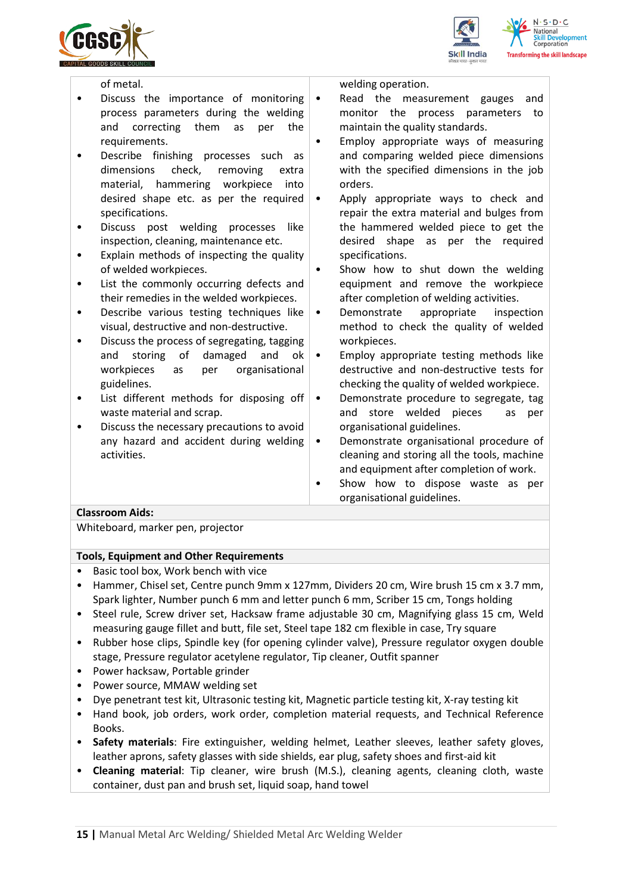





|           | of metal.                                                               |           | welding operation.                                                         |
|-----------|-------------------------------------------------------------------------|-----------|----------------------------------------------------------------------------|
|           | Discuss the importance of monitoring                                    | ٠         | Read the measurement gauges<br>and                                         |
|           | process parameters during the welding                                   |           | monitor the process parameters<br>to                                       |
|           | them<br>correcting<br>and<br>as<br>the<br>per                           |           | maintain the quality standards.                                            |
|           | requirements.                                                           |           | Employ appropriate ways of measuring                                       |
|           | Describe finishing processes such as                                    |           | and comparing welded piece dimensions                                      |
|           | dimensions<br>check,<br>removing<br>extra                               |           | with the specified dimensions in the job                                   |
|           | material, hammering workpiece<br>into                                   |           | orders.                                                                    |
|           | desired shape etc. as per the required                                  | $\bullet$ | Apply appropriate ways to check and                                        |
|           | specifications.                                                         |           | repair the extra material and bulges from                                  |
|           | Discuss post welding processes<br>like                                  |           | the hammered welded piece to get the                                       |
|           | inspection, cleaning, maintenance etc.                                  |           | desired shape as per the required                                          |
|           | Explain methods of inspecting the quality                               |           | specifications.                                                            |
|           | of welded workpieces.                                                   | $\bullet$ | Show how to shut down the welding                                          |
| $\bullet$ | List the commonly occurring defects and                                 |           | equipment and remove the workpiece                                         |
|           | their remedies in the welded workpieces.                                |           | after completion of welding activities.                                    |
| $\bullet$ | Describe various testing techniques like                                | $\bullet$ | appropriate<br>Demonstrate<br>inspection                                   |
|           | visual, destructive and non-destructive.                                |           | method to check the quality of welded                                      |
| ٠         | Discuss the process of segregating, tagging                             |           | workpieces.                                                                |
|           | storing of<br>damaged<br>and<br>and<br>ok                               | $\bullet$ | Employ appropriate testing methods like                                    |
|           | organisational<br>workpieces<br>per<br>as                               |           | destructive and non-destructive tests for                                  |
|           | guidelines.                                                             |           | checking the quality of welded workpiece.                                  |
| ٠         | List different methods for disposing off                                | ٠         | Demonstrate procedure to segregate, tag                                    |
|           | waste material and scrap.<br>Discuss the necessary precautions to avoid |           | store<br>welded<br>and<br>pieces<br>as<br>per<br>organisational guidelines |
|           |                                                                         |           |                                                                            |

uss the necessary precautions to avoid any hazard and accident during welding activities.

- 
- 

- organisational guidelines.
- Demonstrate organisational procedure of cleaning and storing all the tools, machine and equipment after completion of work.
- Show how to dispose waste as per organisational guidelines.

## **Classroom Aids:**

Whiteboard, marker pen, projector

#### **Tools, Equipment and Other Requirements**

- Basic tool box, Work bench with vice
- Hammer, Chisel set, Centre punch 9mm x 127mm, Dividers 20 cm, Wire brush 15 cm x 3.7 mm, Spark lighter, Number punch 6 mm and letter punch 6 mm, Scriber 15 cm, Tongs holding
- Steel rule, Screw driver set, Hacksaw frame adjustable 30 cm, Magnifying glass 15 cm, Weld measuring gauge fillet and butt, file set, Steel tape 182 cm flexible in case, Try square
- Rubber hose clips, Spindle key (for opening cylinder valve), Pressure regulator oxygen double stage, Pressure regulator acetylene regulator, Tip cleaner, Outfit spanner
- Power hacksaw, Portable grinder
- Power source, MMAW welding set
- Dye penetrant test kit, Ultrasonic testing kit, Magnetic particle testing kit, X-ray testing kit
- Hand book, job orders, work order, completion material requests, and Technical Reference Books.
- **Safety materials**: Fire extinguisher, welding helmet, Leather sleeves, leather safety gloves, leather aprons, safety glasses with side shields, ear plug, safety shoes and first-aid kit
- **Cleaning material**: Tip cleaner, wire brush (M.S.), cleaning agents, cleaning cloth, waste container, dust pan and brush set, liquid soap, hand towel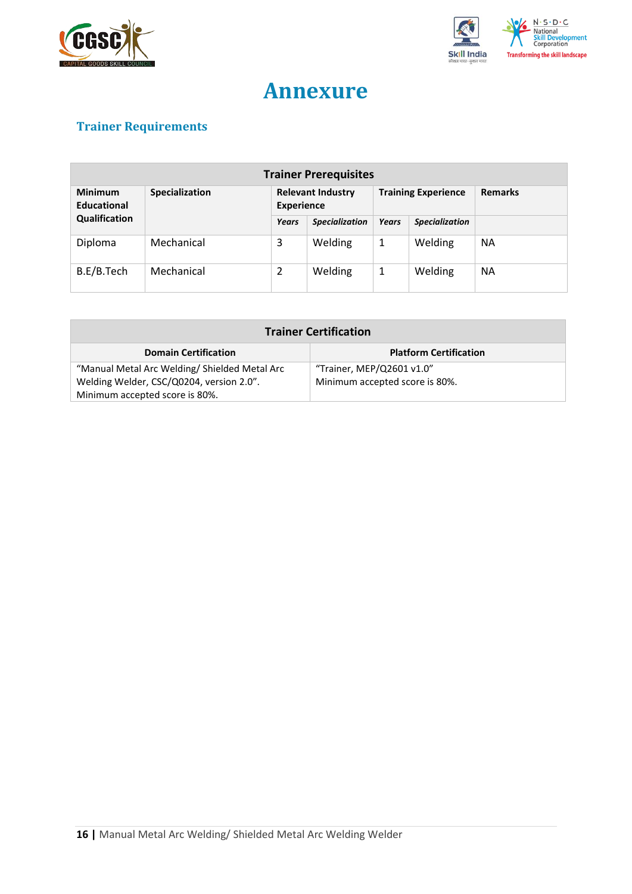



# **Annexure**

# <span id="page-15-0"></span>**Trainer Requirements**

| <b>Trainer Prerequisites</b>  |                       |                                               |                       |                            |                       |                |  |
|-------------------------------|-----------------------|-----------------------------------------------|-----------------------|----------------------------|-----------------------|----------------|--|
| <b>Minimum</b><br>Educational | <b>Specialization</b> | <b>Relevant Industry</b><br><b>Experience</b> |                       | <b>Training Experience</b> |                       | <b>Remarks</b> |  |
| Qualification                 |                       | Years                                         | <b>Specialization</b> | <b>Years</b>               | <b>Specialization</b> |                |  |
| Diploma                       | Mechanical            | 3                                             | Welding               | 1                          | Welding               | <b>NA</b>      |  |
| B.E/B.Tech                    | Mechanical            | 2                                             | Welding               | 1                          | Welding               | <b>NA</b>      |  |

| <b>Trainer Certification</b>                  |                                |  |  |  |
|-----------------------------------------------|--------------------------------|--|--|--|
| <b>Domain Certification</b>                   | <b>Platform Certification</b>  |  |  |  |
| "Manual Metal Arc Welding/ Shielded Metal Arc | "Trainer, MEP/Q2601 v1.0"      |  |  |  |
| Welding Welder, CSC/Q0204, version 2.0".      | Minimum accepted score is 80%. |  |  |  |
| Minimum accepted score is 80%.                |                                |  |  |  |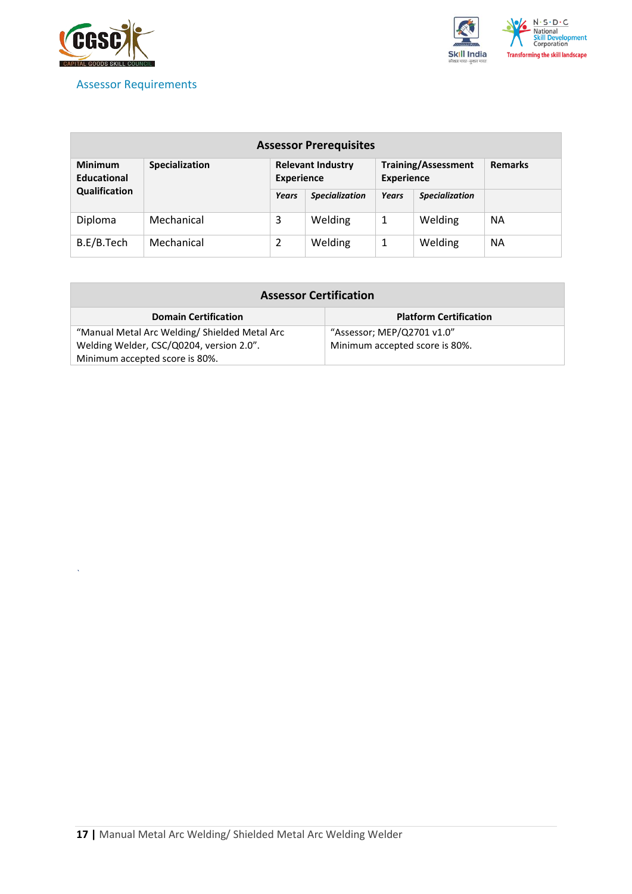

*`*

## <span id="page-16-0"></span>Assessor Requirements



| <b>Assessor Prerequisites</b>        |                |                                               |                       |                                                 |                       |                |
|--------------------------------------|----------------|-----------------------------------------------|-----------------------|-------------------------------------------------|-----------------------|----------------|
| <b>Minimum</b><br><b>Educational</b> | Specialization | <b>Relevant Industry</b><br><b>Experience</b> |                       | <b>Training/Assessment</b><br><b>Experience</b> |                       | <b>Remarks</b> |
| Qualification                        |                | Years                                         | <b>Specialization</b> | <b>Years</b>                                    | <b>Specialization</b> |                |
| Diploma                              | Mechanical     | 3                                             | Welding               | 1                                               | Welding               | <b>NA</b>      |
| B.E/B.Tech                           | Mechanical     | 2                                             | Welding               | 1                                               | Welding               | <b>NA</b>      |

| <b>Assessor Certification</b>                |                                |  |  |  |
|----------------------------------------------|--------------------------------|--|--|--|
| <b>Domain Certification</b>                  | <b>Platform Certification</b>  |  |  |  |
| "Manual Metal Arc Welding/Shielded Metal Arc | "Assessor; MEP/Q2701 v1.0"     |  |  |  |
| Welding Welder, CSC/Q0204, version 2.0".     | Minimum accepted score is 80%. |  |  |  |
| Minimum accepted score is 80%.               |                                |  |  |  |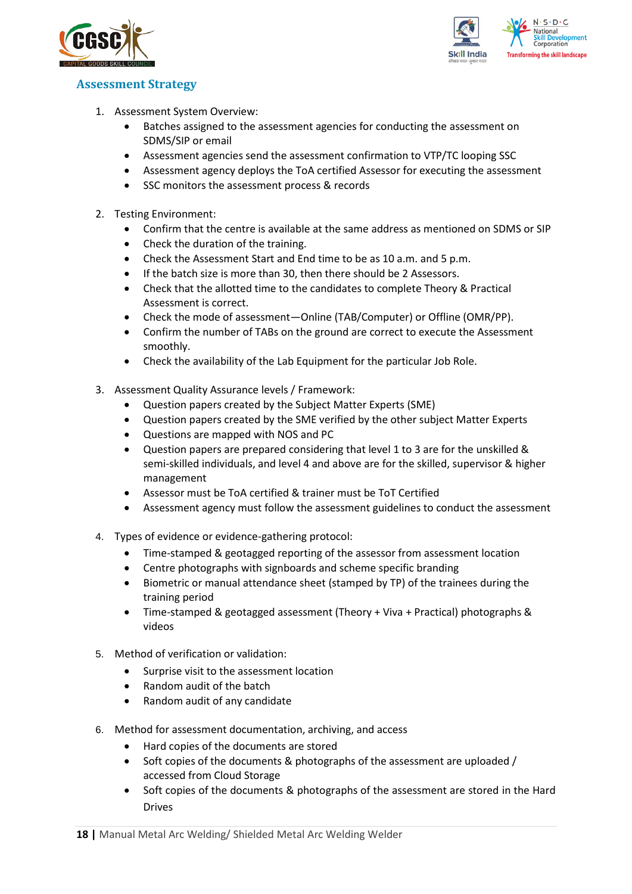



### <span id="page-17-0"></span>**Assessment Strategy**

- 1. Assessment System Overview:
	- Batches assigned to the assessment agencies for conducting the assessment on SDMS/SIP or email
	- Assessment agencies send the assessment confirmation to VTP/TC looping SSC
	- Assessment agency deploys the ToA certified Assessor for executing the assessment
	- SSC monitors the assessment process & records
- 2. Testing Environment:
	- Confirm that the centre is available at the same address as mentioned on SDMS or SIP
	- Check the duration of the training.
	- Check the Assessment Start and End time to be as 10 a.m. and 5 p.m.
	- If the batch size is more than 30, then there should be 2 Assessors.
	- Check that the allotted time to the candidates to complete Theory & Practical Assessment is correct.
	- Check the mode of assessment—Online (TAB/Computer) or Offline (OMR/PP).
	- Confirm the number of TABs on the ground are correct to execute the Assessment smoothly.
	- Check the availability of the Lab Equipment for the particular Job Role.
- 3. Assessment Quality Assurance levels / Framework:
	- Question papers created by the Subject Matter Experts (SME)
	- Question papers created by the SME verified by the other subject Matter Experts
	- Questions are mapped with NOS and PC
	- Question papers are prepared considering that level 1 to 3 are for the unskilled & semi-skilled individuals, and level 4 and above are for the skilled, supervisor & higher management
	- Assessor must be ToA certified & trainer must be ToT Certified
	- Assessment agency must follow the assessment guidelines to conduct the assessment
- 4. Types of evidence or evidence-gathering protocol:
	- Time-stamped & geotagged reporting of the assessor from assessment location
	- Centre photographs with signboards and scheme specific branding
	- Biometric or manual attendance sheet (stamped by TP) of the trainees during the training period
	- Time-stamped & geotagged assessment (Theory + Viva + Practical) photographs & videos
- 5. Method of verification or validation:
	- Surprise visit to the assessment location
	- Random audit of the batch
	- Random audit of any candidate
- 6. Method for assessment documentation, archiving, and access
	- Hard copies of the documents are stored
	- Soft copies of the documents & photographs of the assessment are uploaded / accessed from Cloud Storage
	- Soft copies of the documents & photographs of the assessment are stored in the Hard Drives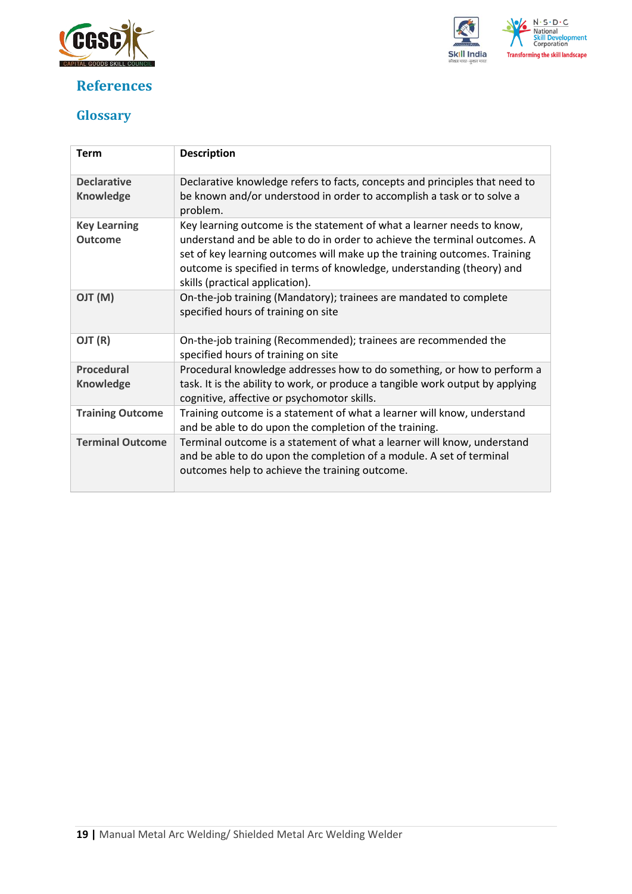

# <span id="page-18-0"></span>**References**



# <span id="page-18-1"></span>**Glossary**

| <b>Term</b>                            | <b>Description</b>                                                                                                                                                                                                                                                                                                                            |
|----------------------------------------|-----------------------------------------------------------------------------------------------------------------------------------------------------------------------------------------------------------------------------------------------------------------------------------------------------------------------------------------------|
| <b>Declarative</b><br><b>Knowledge</b> | Declarative knowledge refers to facts, concepts and principles that need to<br>be known and/or understood in order to accomplish a task or to solve a<br>problem.                                                                                                                                                                             |
| <b>Key Learning</b><br><b>Outcome</b>  | Key learning outcome is the statement of what a learner needs to know,<br>understand and be able to do in order to achieve the terminal outcomes. A<br>set of key learning outcomes will make up the training outcomes. Training<br>outcome is specified in terms of knowledge, understanding (theory) and<br>skills (practical application). |
| (M) TLO                                | On-the-job training (Mandatory); trainees are mandated to complete<br>specified hours of training on site                                                                                                                                                                                                                                     |
| OJT (R)                                | On-the-job training (Recommended); trainees are recommended the<br>specified hours of training on site                                                                                                                                                                                                                                        |
| <b>Procedural</b><br><b>Knowledge</b>  | Procedural knowledge addresses how to do something, or how to perform a<br>task. It is the ability to work, or produce a tangible work output by applying<br>cognitive, affective or psychomotor skills.                                                                                                                                      |
| <b>Training Outcome</b>                | Training outcome is a statement of what a learner will know, understand<br>and be able to do upon the completion of the training.                                                                                                                                                                                                             |
| <b>Terminal Outcome</b>                | Terminal outcome is a statement of what a learner will know, understand<br>and be able to do upon the completion of a module. A set of terminal<br>outcomes help to achieve the training outcome.                                                                                                                                             |